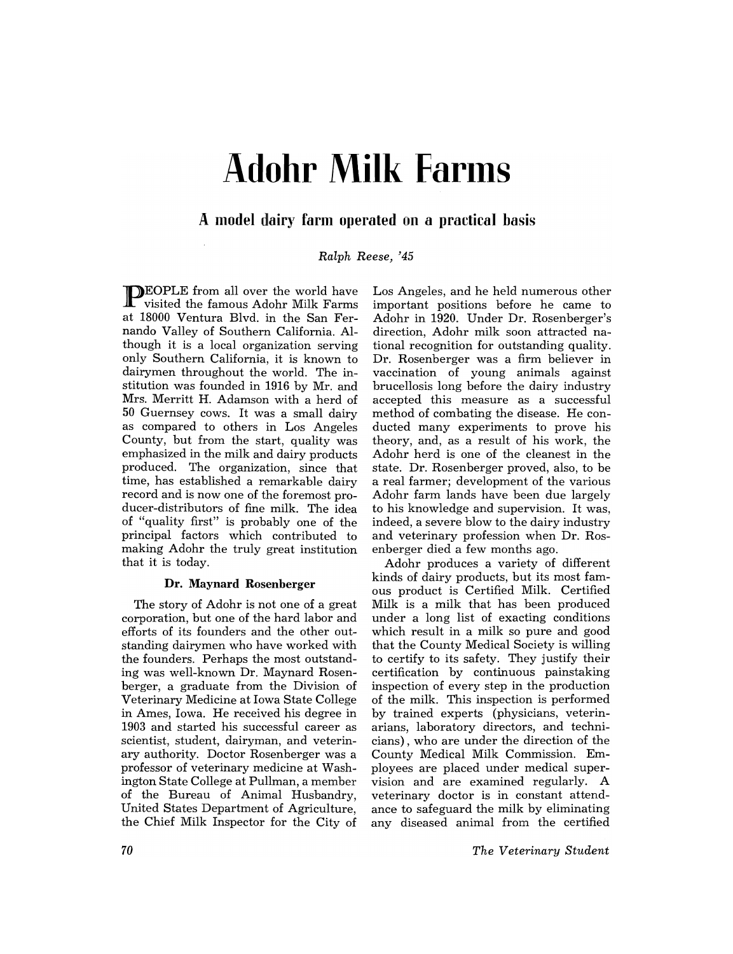# **Adohr Milk Farms**

## **A model dairy farm operated on a practical basis**

*Ralph Reese, '45* 

**PEOPLE** from all over the world have visited the famous Adohr Milk Farms at 18000 Ventura Blvd. in the San Fernando Valley of Southern California. Although it is a local organization serving only Southern California, it is known to dairymen throughout the world. The institution was founded in 1916 by Mr. and Mrs. Merritt H. Adamson with a herd of 50 Guernsey cows. It was a small dairy as compared to others in Los Angeles County, but from the start, quality was emphasized in the milk and dairy products produced. The organization, since that time, has established a remarkable dairy record and is now one of the foremost producer-distributors of fine milk. The idea of "quality first" is probably one of the principal factors which contributed to making Adohr the truly great institution that it is today.

## **Dr. Maynard Rosenberger**

The story of Adohr is not one of a great corporation, but one of the hard labor and efforts of its founders and the other outstanding dairymen who have worked with the founders. Perhaps the most outstanding was well-known Dr. Maynard Rosenberger, a graduate from the Division of Veterinary Medicine at Iowa State College in Ames, Iowa. He received his degree in 1903 and started his successful career as scientist, student, dairyman, and veterinary authority. Doctor Rosenberger was a professor of veterinary medicine at Washington State College at Pullman, a member of the Bureau of Animal Husbandry, United States Department of Agriculture, the Chief Milk Inspector for the City of

Los Angeles, and he held numerous other important positions before he came to Adohr in 1920. Under Dr. Rosenberger's direction, Adohr milk soon attracted national recognition for outstanding quality. Dr. Rosenberger was a firm believer in vaccination of young animals against brucellosis long before the dairy industry accepted this measure as a successful method of combating the disease. He conducted many experiments to prove his theory, and, as a result of his work, the Adohr herd is one of the cleanest in the state. Dr. Rosenberger proved, also, to be a real farmer; development of the various Adohr farm lands have been due largely to his knowledge and supervision. It was, indeed, a severe blow to the dairy industry and veterinary profession when Dr. Rosenberger died a few months ago.

Adohr produces a variety of different kinds of dairy products, but its most famous product is Certified Milk. Certified Milk is a milk that has been produced under a long list of exacting conditions which result in a milk so pure and good that the County Medical Society is willing to certify to its safety. They justify their certification by continuous painstaking inspection of every step in the production of the milk. This inspection is performed by trained experts (physicians, veterinarians, laboratory directors, and technicians) , who are under the direction of the County Medical Milk Commission. Employees are placed under medical supervision and are examined regularly. A veterinary doctor is in constant attendance to safeguard the milk by eliminating any diseased animal from the certified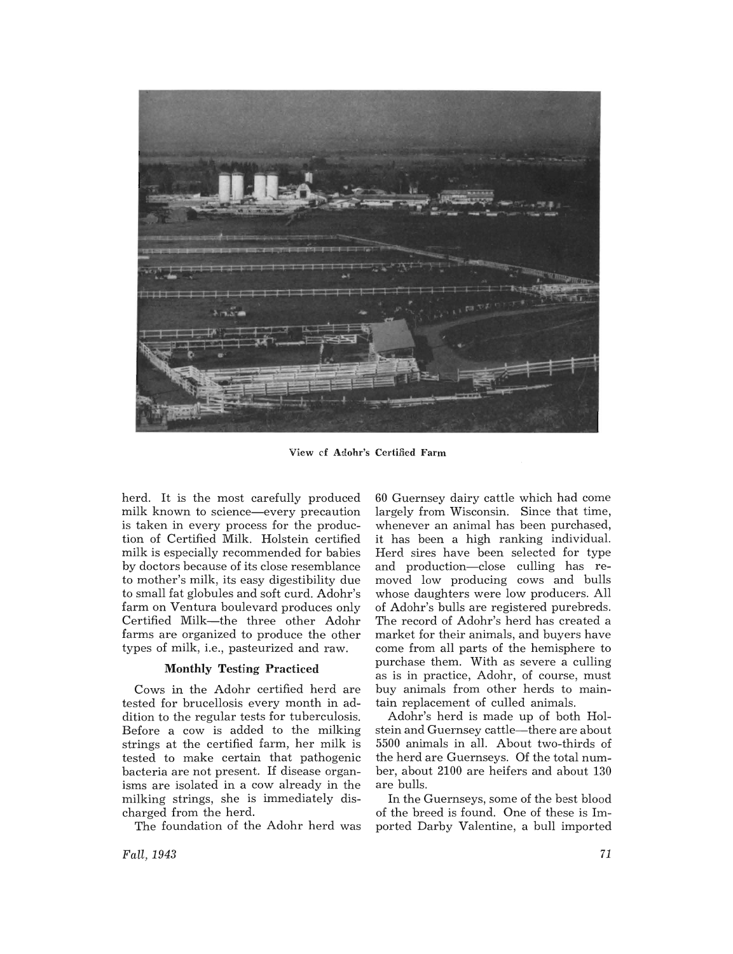

View cf Adohr's Certified Farm

herd. It is the most carefully produced milk known to science—every precaution is taken in every process for the production of Certified Milk. Holstein certified milk is especially recommended for babies by doctors because of its close resemblance to mother's milk, its easy digestibility due to small fat globules and soft curd. Adohr's farm on Ventura boulevard produces only Certified Milk-the three other Adohr farms are organized to produce the other types of milk, i.e., pasteurized and raw.

#### **Monthly** Testing Practiced

Cows in the Adohr certified herd are tested for brucellosis every month in addition to the regular tests for tuberculosis. Before a cow is added to the milking strings at the certified farm, her milk is tested to make certain that pathogenic bacteria are not present. If disease organisms are isolated in a cow already in the milking strings, she is immediately discharged from the herd.

The foundation of the Adohr herd was

*Fall, 1943* 

60 Guernsey dairy cattle which had come largely from Wisconsin. Since that time, whenever an animal has been purchased, it has been a high ranking individual. Herd sires have been selected for type and production-close culling has removed low producing cows and bulls whose daughters were low producers. All of Adohr's bulls are registered purebreds. The record of Adohr's herd has created a market for their animals, and buyers have come from all parts of the hemisphere to purchase them. With as severe a culling as is in practice, Adohr, of course, must buy animals from other herds to maintain replacement of culled animals.

Adohr's herd is made up of both Holstein and Guernsey cattle-there are about 5500 animals in all. About two-thirds of the herd are Guernseys. Of the total number, about 2100 are heifers and about 130 are bulls.

In the Guernseys, some of the best blood of the breed is found. One of these is Imported Darby Valentine, a bull imported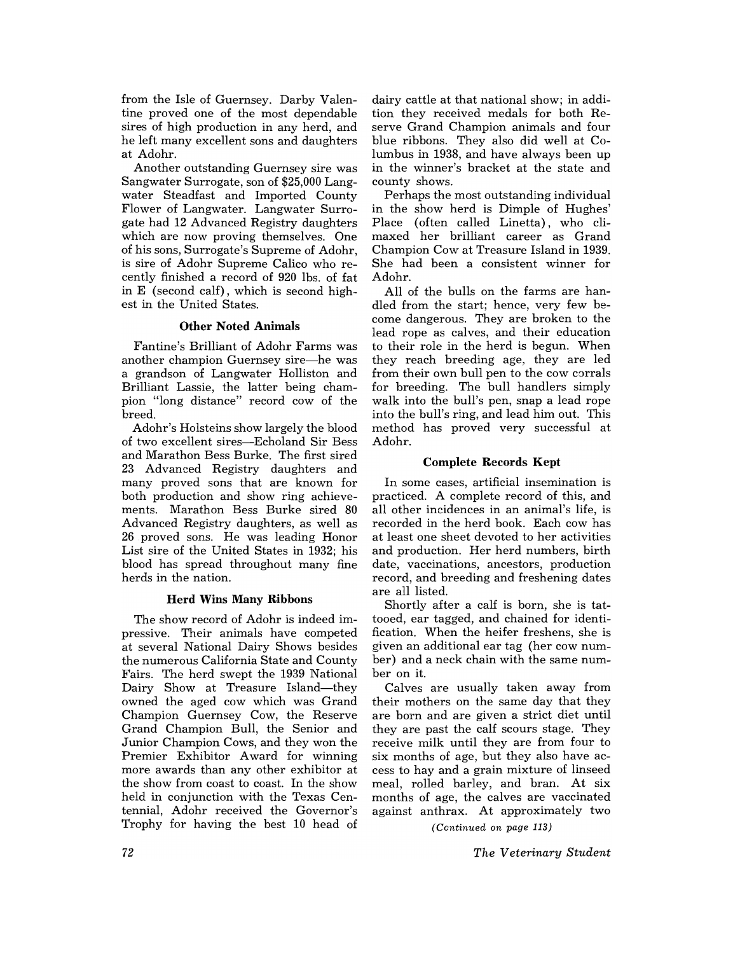from the Isle of Guernsey. Darby Valentine proved one of the most dependable sires of high production in any herd, and he left many excellent sons and daughters at Adohr.

Another outstanding Guernsey sire was Sangwater Surrogate, son of \$25,000 Langwater Steadfast and Imported County Flower of Langwater. Langwater Surrogate had 12 Advanced Registry daughters which are now proving themselves. One of his sons, Surrogate's Supreme of Adohr, is sire of Adohr Supreme Calico who recently finished a record of 920 lbs. of fat in E (second calf), which is second highest in the United States.

## Other Noted Animals

Fantine's Brilliant of Adohr Farms was another champion Guernsey sire—he was a grandson of Langwater Holliston and Brilliant Lassie, the latter being champion "long distance" record cow of the breed.

Adohr's Holsteins show largely the blood of two excellent sires-Echoland Sir Bess and Marathon Bess Burke. The first sired 23 Advanced Registry daughters and many proved sons that are known for both production and show ring achievements. Marathon Bess Burke sired 80 Advanced Registry daughters, as well as 26 proved sons. He was leading Honor List sire of the United States in 1932; his blood has spread throughout many fine herds in the nation.

## Herd Wins Many Ribbons

The show record of Adohr is indeed impressive. Their animals have competed at several National Dairy Shows besides the numerous California State and County Fairs. The herd swept the 1939 National Dairy Show at Treasure Island-they owned the aged cow which was Grand Champion Guernsey Cow, the Reserve Grand Champion Bull, the Senior and Junior Champion Cows, and they won the Premier Exhibitor Award for winning more awards than any other exhibitor at the show from coast to coast. In the show held in conjunction with the Texas Centennial, Adohr received the Governor's Trophy for having the best 10 head of

dairy cattle at that national show; in addition they received medals for both Reserve Grand Champion animals and four blue ribbons. They also did well at Columbus in 1938, and have always been up in the winner's bracket at the state and county shows.

Perhaps the most outstanding individual in the show herd is Dimple of Hughes' Place (often called Linetta), who climaxed her brilliant career as Grand Champion Cow at Treasure Island in 1939. She had been a consistent winner for Adohr.

All of the bulls on the farms are handled from the start; hence, very few become dangerous. They are broken to the lead rope as calves, and their education to their role in the herd is begun. When they reach breeding age, they are led from their own bull pen to the cow corrals for breeding. The bull handlers simply walk into the bull's pen, snap a lead rope into the bull's ring, and lead him out. This method has proved very successful at Adohr.

## Complete Records Kept

In. some cases, artificial insemination is practiced. A complete record of this, and all other incidences in an animal's life, is recorded in the herd book. Each cow has at least one sheet devoted to her activities and production. Her herd numbers, birth date, vaccinations, ancestors, production record, and breeding and freshening dates are all listed.

Shortly after a calf is born, she is tattooed, ear tagged, and chained for identification. When the heifer freshens, she is given an additional ear tag (her cow number) and a neck chain with the same number on it.

Calves are usually taken away from their mothers on the same day that they are born and are given a strict diet until they are past the calf scours stage. They receive milk until they are from four to six months of age, but they also have access to hay and a grain mixture of linseed meal, rolled barley, and bran. At six months of age, the calves are vaccinated against anthrax. At approximately two

*(Continued on page 113)* 

*The Veterinary Student*